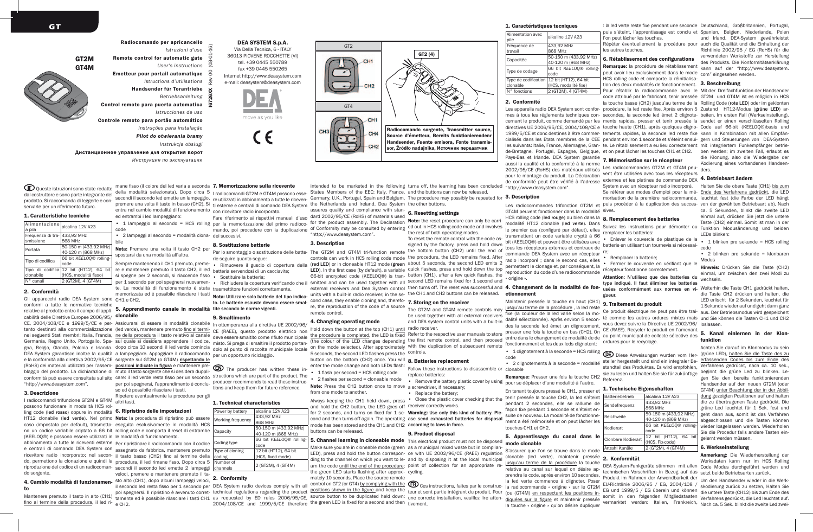

**CIT** Queste istruzioni sono state redatte dal costruttore e sono parte integrante del prodotto. Si raccomanda di leggerle e conservarle per un riferimento futuro. 1. Caratteristiche tecniche

alcalina 12V A23

code 12 bit (HT12), 64 bit

(HCS, modalità fisso)  $2$  (GT2M),  $4$  (GT4M)

Gli apparecchi radio DEA System sono CH1 e CH2.

cabilità delle Direttive Europee 2006/95/ **clonabile** 

433,92 MHz 868 MHz<br>50-150 m (433.92 MHz)

Portata 50-150 m (433,92 MHz) 40-120 m (868 MHz) Tipo di codifica 66 bit *KEELOQ®* rolling-

Alimentazione<br>a pila

Frequenza di trasmissione

Tipo di codifica clonabile<br>N° canali

2. Conformità

"http://www.deasystem.com".

possono funzionare in modalità HCS rol-

Mantenere premuto il tasto in alto (CH1) fino al termine della procedura, il led ri-<br>e CH2.

3. Descrizione

do sorgente.

to

Дистанционное управление для открытия ворот

DEA SYSTEM S.p.A. Via Della Tecnica, 6 - ITALY 36013 PIOVENE ROCCHETTE (VI) tel. +39 0445 550789 fax +39 0445 550265 Internet http://www.deasystem.com e-mail: deasystem@deasystem.com



*Инструкция по эксплуатации*

ed entrambi i led lampeggiano:

code

bile





Radiocomando sorgente, Transmitter source, Source d'émetteur, Bereits funktionierendenr Handsender, Fuente emisora, Fonte transmissor, Źródło nadajnika, Источник передатчик

GT2

della modalità selezionata). Dopo circa 5 <sub>Iradiocomandi GT2M e GT4M possono esse-</sub> States Members of the EEC: Italy, France, and the buttons can now be released. intended to be marketed in the following turns off, the learning has been concluded

premere una volta il tasto in basso (CH2). Si ti esterne e centrali di comando DEA System the Netherlands and Ireland. Dea System the other buttons. assures quality and compliance with stan-<br>dard 2002/95/CE (PoHS) of materials used **6. Resetting settings** Fare riferimento ai rispettivi manuali d'uso dard 2002/95/CE (RoHS) of materials used

 $GT2(4)$ 

3. Description

gna, Belgio, Olanda, Polonia e Irlanda. dopo circa 10 secondi il led verde comincia dolo al punto di raccolta municipale locale on the mode selected). After approximately with the duplication of subsequent remote Hold down the button at the top (CH1) until<br>the procedure is completed, the LED is fixed (the colour of the LED changes depending the first remote control, and then proceed entered and secure the mean section and the first remote of the first remote. The control of the first remote of the first remote of the f 5 seconds, the second LED flashes press the controls.

> • 1 flash per second = HCS rolling code • 2 flashes per second = cloneable mode replace batteries: • Remove the battery plastic cover by using

> > • Replace the battery;

for 2 seconds, and turns on fixed for 1 se- Warning: Use only this kind of battery. Plecond and then turns off again. The operating ase send exhausted batteries for disposal mode has been stored and the CH1 and CH2 according to laws in force. buttons can be released.

**5. Channel learning in cloneable mode** This electrical product must not be disposed Make sure you are in cloneable mode (green as a municipal mixed waste but in complian-LED), press and hold the button correspon-ce with UE 2002/96/CE (RAEE) regulation ding to the channel on which you want to le-and by disposing it at the local municipal aing to the channel on which you want to le- and by disposing it at the local municipal intermede la procédure la touche and the worksdaten kann nur im HCS Rolling interval and the end of the procedure; point of collection the green LED starts flashing after approxi-cycling.

poi spegnersi. Il ripristino è avvenuto corret- tecnnical regulations regarding the product Exaction between the research on the reduction of the reduction and the reduction of the destant of product entering in the reduct 2004/108/CE and 1999/5/CE therefore the green LED is fixed for a second and then tivement. mately 10 seconds. Place the source remote<br>control on GT2 (or GT4) by complying with the **CEO** Ces instructions, faites par le construc- la radiocommande « origine » sur le GT2M EU-Richtlinie 2006/95 / EG, 2004/108 / skodi

1. Caractéristiques tecniques

| Alimentation avec |                                            | puis s'eteint, l'apprentissage est conclu et Spanien, Belgien, Nied |                          |
|-------------------|--------------------------------------------|---------------------------------------------------------------------|--------------------------|
| pile              | alkaline 12V A23                           | l'on peut lâcher les touches.                                       | und Irland. DEA-Systen   |
| Fréquence de      | 433.92 MHz                                 | Répéter éventuellement la procédure pour auch die Qualität und die  |                          |
| travail           | 868 MHz                                    | les autres touches.                                                 | Richtlinie 2002/95 / EG  |
| Capacitée         | 50-150 m (433,92 MHz)                      | 6. Rétablissement des configurations                                | verwendeten Werkstoffe   |
|                   | 40-120 m (868 MHz)                         |                                                                     | des Produkts. Die Konfor |
| Type de codage    | 66 bit KEELOO® rolling-                    | Remarque: la procédure de rétablissement                            | kann auf der "http://v   |
|                   | code                                       | peut avoir lieu exclusivement dans le mode                          | com" eingesehen werden   |
|                   | Type de codification 12 bit (HT12), 64 bit | HCS rolling code et comporte la réinitialisa-                       | 3. Beschreibung          |
| clonable          | (HCS, modalité fixe)                       | tion des deux modalités de fonctionnement.                          |                          |
| IN° fonctions     | 2 (GT2M), 4 (GT4M)                         | Pour rétablir la radiocommande avec le Mit der Dreifachfunktion     |                          |

## 2. Conformité

"http://www.deasystem.com".

 $\sqrt{\frac{\text{Alim}}{\text{pile}}}$ 

Les appareils radio DEA System sont confor- procédure, la led reste fixe. Après environ 5 Zustand HT12-Modus (grüne LED) armes à tous les règlements techniques con- secondes, la seconde led émet 2 clignote- beiten. Im ersten Fall (Werkseinstellung), cernant le produit, comme demandé par les ments rapides, presser et tenir pressée la sendet er einen verschlüsselten Rolling directives UE 2006/95/CE, 2004/108/CE e touche haute (CH1), après quelques cligno-Code auf 66-bit (KEELOQ®)basis und 1999/5/CE et donc destines à être commer-tements rapides, la seconde led reste fixe kann in Kombination mit allen Empfäncialisés dans les Etats membres de la CEE pendant environ 1 seconde et s'éteint ensui-gern und Steuerungen von DEA-System les suivants: Italie, France, Allemagne, Gran- te. Le rétablissement a eu lieu correctement mit integriertem Funkempfänger betrie de-Bretagne, Portugal, Espagne, Belgique, et on peut lâcher les touches CH1 et CH2. ben werden; im zweiten Fall, erlaubt es Pays-Bas et Irlande. DEA System garantie<br>aussi la qualité et la conformité à la norme 7. Mémorisation sur le récepteur aussi la qualité et la conformité à la norme Les radiocommandes GT2M et GT4M peu-ders.

2002/95/CE (RoHS) des matériaux utilisés pour le montage du produit. La Déclaration vent être utilisées avec tous les récepteurs de conformité peut être vérifié à l'adresse externes et les platines de commande DEA 4. Betriebsart ändern System avec un récepteur radio incorporé. Halten Sie die obere Taste (CH1) bis zum

récepteur fonctionne correctement.

Les radiocommandes trifonction GT2M et puis procéder à la duplication des succes- von der gewählten Betriebsart ab). Nach GT4M peuvent fonctionner dans la modalité Sives. HCS rolling code (led rouge) ou bien dans la 8. Remplacement des batteries modalité HT12 clonable (led verte). Dans le premier cas (configuré par défaut), elles transmettent un code variable crypté à 66 bit (KEELOQ®) et peuvent être utilisées avec tous les récepteurs externes et centraux de commande DEA System avec un récepteur 8. Remplacement des batteries remplacer les batteries:<br>le premier cas (configuré par défaut), elles premplacer les batteries: batterie en utilisant un tournevis si nécessaire; • Remplacer la batterie; • Fermer le couvercle en vérifiant que le

## ctionnement gueur.

radio receiver.<br>Refer to the respective user manuals to store presser une fois la touche en bas (CH2). On<br>the first remote control, and then proceed, entre dans le changement de modalité de de Maintenir pressée la touche en haut (CH1)

> • 1 clignotement à la seconde = HCS rolling code • 2 clignotements à la seconde = modalité

pour se déplacer d'une modalité à l'autre. En tenant toujours pressé le CH1, presser et tenir pressée la touche CH2, la led s'éteint

façon fixe pendant 1 seconde et s'éteint ensuite de nouveau. La modalité de fonctionnement a été mémorisée et on peut lâcher les touches CH1 et CH2.

mode clonable

S'assurer que l'on se trouve dans le mode clonable (led verte), maintenir pressée 2. Konformität relative au canal sur lequel on désire ap-<br>prendre le code, après environ 10 secondes, Produkt im Rahmen der Anwendbarkeit der Secondes, aux des Betriebsarten zurück.<br>la led verte commence à clignoter. Poser Funcionation 2 la touche « origine » qu'on désire dupliquer vermarktet werden: Italien, Frankreich, Nach ca. 5 Sek. blinkt die zweite Led zwei

: la led verte reste fixe pendant une seconde Deutschland, Großbritannien, Portugal, puis s'éteint, l'apprentissage est conclu et Spanien, Belgien, Niederlande, Polen und Irland. DEA-System gewährleistet

Répéter éventuellement la procédure pour auch die Qualität und die Einhaltung der Remarque: la procédure de rétablissement des Produkts. Die Konformitätserklärung kann auf der "http://www.deasystem. Richtlinie 2002/95 / EG (RoHS) für die verwendeten Werkstoffe zur Herstellung<br>des Produkts. Die Konformitätserklärung

Pour rétablir la radiocommande avec le code attribué par le fabricant, tenir pressée GT2M und GT4M ist es möglich in HCS la touche basse (CH2) jusqu'au terme de la Rolling Code (rote LED) oder im geklonten **Imande** avec le Mit der Dreifachfunktion der Handsender die Klonung, also die Wiedergabe der Kodierung eines vorhandenen Handsen-

fixe (la couleur de la led varie selon la mo-Ce produit électrique ne peut pas être trai-aus. Der Betriebsmodus wird gespeichert dalité sélectionnée). Après environ 5 secon-<sup>té comme les autres ordures mixtes mais und Sie können die Tasten CH1 und CH2</sup> Se référer aux modes d'emploi pour la mé- Ende des Verfahrens gedrückt, die LED morisation de la première radiocommande, leuchtet fest (die Farbe der LED hängt Suivez les instructions pour démonter ou Taste (CH2) einmal. Somit ist man in der Funktion Modusänderung und beiden remplacer les patteries.<br>• Enlever le couvercle de plastique de la , a blinken Attention: N'utilisez que des batteries du type indiqué. Il faut éliminer les batteries CE (RAEE). Recycler le produit en l'amenant au point municipal de collecte sélective des UEJ Diese Anweisungen wurden vom Her- (Brune LED), fightern Sie die Traste des Zum Ende<br>steller hergestellt und sind ein integraler Be- erfassenden Codes bis zum Ende des<br>standteil des Produktes Fs wird empfohlen Verfahren standteil des Produktes. Es wird empfohlen, verlatiteris geutuckt, hach ca. 10 sek.<br>sie zu lesen und halten Sie sie für zukünftige beginnt die grüne Led zu blinken. Le 868 MHz<br>50-150 m (433.92 MHz) Reichweite 50-150 m (433,92 MHz) Kodierart 66 bit *KEELOQ®* rollingca. 5 Sekunden, blinkt die zweite LED einmal auf, drücken Sie jetzt die untere • 1 blinken pro sekunde = HCS rolling code • 2 blinken pro sekunde = klonbaren Modus Hinweis: Drücken Sie die Taste (CH2) einmal, um zwischen den zwei Modi zu wechseln. die Taste CH2 drücken und halten, die LED erlischt für 2 Sekunden, leuchtet für 1 Sekunde wieder auf und geht dann ganz 5. Kanal einlernen in der Klonfunktion Achten Sie darauf im Klonmodus zu sein (DE) Diese Anweisungen wurden vom Her- (grüne LED), halten Sie die Taste des zu gen Sie den bereits funktionierenden Handsender auf den neuen GT2M (oder GT4M) unter Beachtung der in der Abbildung gezeigten Positionen auf und halten die zu übertragenen Taste gedrückt. Die grüne Led leuchtet für 1 Sek. fest und geht dann aus, somit ist das Verfahren abgeschlossen und die Tasten können wieder losgelassen werden. Wiederholen Sie die Procedur falls andere Tasten eingelernt werden müssen. 6. Werkseinstellung Anmerkung: Die Wiederherstellung der<br>Werksdaten kann nur im HCS Rolling

Um den Handsender wieder in die Werk-

• 2 lampeggi al secondo = modalità clona-dei succesivi. Nota: Premere una volta il tasto CH2 per spostarsi da una modalità all'altra. Sempre mantenendo il CH1 premuto, preme-rie seguire quanto segue: • Rimuovere il guscio di copertura della re e mantenere premuto il tasto CH2, il led batteria servendosi di un cacciavite; si spegne per 2 secondi, si riaccende fisso • Sostituire la batteria; te. La modalità di funzionamento è stata trasmettitore funzioni correttamente. memorizzata ed è possibile rilasciare i tasti **Nota: Utilizzare solo batterie del tipo indica-**8. Sostituzione batterie

conformi a tutte le normative tecniche relative al prodotto entro il campo di appli-5. Apprendimento canale in modalità tite secondo le norme vigenti. to. Le batterie esauste devono essere smal-

## 9. Smaltimento

CE, 2004/108/CE e 1999/5/CE e per-Assicurarsi di essere in modalità clonabile tanto destinati alla commercializzazione (led verde), mantenere premuto <u>fino al termi-</u><br>nei seguenti Stati membri: Italia, Francia, <u>ne della procedura</u> il tasto relativo al canale Germania, Regno Unito, Portogallo, Spa-sul quale si desidera apprendere il codice, misto. Si prega di smaltire il prodotto portan-DEA System garantisce inoltre la qualità a lampeggiare. Appoggiare il radiocomando e la conformità alla direttiva 2002/95/CE sorgente sul GT2M (o GT4M) rispettando le In ottemperanza alla direttiva UE 2002/96/ CE (RAEE), questo prodotto elettrico non deve essere smaltito come rifiuto municipale per un opportuno riciclaggio.

conformità può essere consultata sul sito care: il led verde resta fisso per un secondo structions which are part of the product. The The producer has written these inproducer recommends to read these instructions and keep them for future reference.

# I radiocomandi trifunzione GT2M e GT4M altri tasti.

no un codice variabile criptato a 66 bit rolling code e comporta il reset di entrambe (KEELOQ®) e possono essere utilizzati in le modalità di funzionamento. abbinamento a tutte le riceventi esterne Per ripristinare il radiocomando con il codice e centrali di comando DEA System con assegnato da fabbrica, mantenere premuto ricevitore radio incorporato; nel secon-il tasto basso (CH2) fino al termine della do, permettono la clonazione e quindi la procedura, il led rimane fisso. Dopo circa 5 Number of riproduzione del codice di un radiocoman-secondi il secondo led emette 2 lampeggi Power by battery alcalina 12V A23 Working frequency 868 MHz Capacity 50-150 m (433,92 MHz) 40-120 m (868 MHz) Coding type 66 bit *KEELOQ®* rollingcode Type of cloning coding 12 bit (HT12), 64 bit (HCS, fixed mode) Number of  $\begin{bmatrix} 2 \end{bmatrix}$  (GT2M), 4 (GT4M)

## 4. Cambio modalità di funzionamen- sto alto (CH1), dopo alcuni lampeggi veloci, 2. Conformity

(RoHS) dei materiali utilizzati per l'assem- **posizioni indicate in figura** e mantenere preblaggio del prodotto. La dichiarazione di muto il tasto sorgente che si desidera duppliling code (led rosso) oppure in modalità 6. Ripristino delle impostazioni HT12 clonabile (led verde). Nel primo Nota: la procedura di ripristino può essere caso (impostato per default), trasmetto-eseguita esclusivamente in modalità HCS per poi spegnersi, l'apprendimento è concluso ed è possibile rilasciare i tasti. Ripetere eventualmente la procedura per gli 1. Technical characteristics

veloci, premere e mantenere premuto il ta-

il secondo led resta fisso per 1 secondo per DEA System radio devices comply with all<br>poi spegnersi. Il ripristino è avvenuto corret- technical regulations regarding the product

della inodalità selezionata). Dopo circa 5 Tradiocomandi GT2M e GT4M possono esse. States internibers of the EEC. Italy, France, and the buttons can now be released.<br>secondi il secondo led emette un lampeggio, re utilizzat

entration rieu ampeggion.<br>• 1 lampeggio al secondo = HCS rolling per la memorizzazione del primo radioco- for the product assembly. The Declaration **ode:** the reset procedure can only be carri-<br>• 1 lampeggio al secondo = H per to incindizzazione act primo radiocology of Conformity may be consulted by entering ed out in HCS rolling code mode and involves mando, poi procedere con la duplicazione of Conformity may be consulted by entering ed ou "http://www.deasystem.com".

per 1 secondo per poi spegnersi nuovamen-<br>
Fichiudere la Richiudere la copertura verificando che il smitted and can be used together with all second LED remains fixed for 1 second and Per lo smontaggio o sostituzione delle batte- The GT2M and GT4M tri-function remote the bottom button (CH2) until the end of controls can work in HCS rolling code mode the procedure, the LED remains fixed. After<br>(red LED) or in cloneable HT12 mode (green about 5 seconds, the second LED emits 2 regimentent le clonage et par conséquent la (Fed LED) of in cioneable HTL2 mode (green accession section and hold down the top permettent le clonage et, par conséquent, la<br>LED). In the first case (by default), a variable quick flashes, press and hold down the top re 66-bit encrypted code (KEELOQ®) is tran- button (CH1), after a few quick flashes, the «origine ». external receivers and Dea System control then turns off. The reset was successful and 4. Changement de la modalité de fon-usées conformément aux normes en vi-Weiterhin die Taste CH1 gedrückt halten, signed by the factory, press and hold down controls can work in HCS rolling code mode the procedure, the LED remains fixed. After

re, the reproduction of the code of a source The GT2M and GT4M remote controls may lusqu'au terme de la procédure, la led reste

## button on the bottom (CH2) once. You will 8. Batteries replacement enter the mode change and both LEDs flash: 8. Batteries replacement Follow these instructions to disassemble or clonable

Note: Press the CH2 button once to move a screwdriver, if necessary; from one mode to another.

Always keeping the CH1 held down, press • Close the plastic cover checking that the and hold the CH2 button, the LED goes off receiver correctly works.

9. Product disposal

des la seconde led émet un clignotement, vous devez suivre la Directive UE 2002/96/ loslassen. 9. Traitement du produit

Remarque: Presser une fois la touche CH2 Referenz. 1. Technische Eigenschaften

## pendant 2 secondes, elle se rallume de Batteriebetrieb alcalina 12V A23 Sendefrequenz 433,92 MHz

# 5. Apprentissage du canal dans le

code Clonbare Kodierart  $12$  bit (HT12), 64 bit (HCS, Fix-code) Anzahl Kanäle 2 (GT2M), 4 (GT4M) technischen Vorschriften in Bezug auf das setzt beide Betriebsarten zurück.

**4. Changing operating mode** and DEA syste<br>Hold down the button at the top (CH1) <u>until</u> radio receiver. be used together with all external receivers and DEA system control units with a built-in

To reset the remote control with the code as-

units with a built-in radio receiver; in the se-the CH1 and CH2 buttons can be released.

cond case, they enable cloning and, therefo- 7. Storing on the receiver

## remote control.

Radiocomando per apricancello



*Istruzioni d'uso* 

è

ŏ

*Istructions d'utilisations*

*Betriebsanleitung* 

mane fisso (il colore del led varia a seconda **7. Memorizzazione sulla ricevente** 

entra nel cambio modalità di funzionamento con ricevitore radio incorporato.